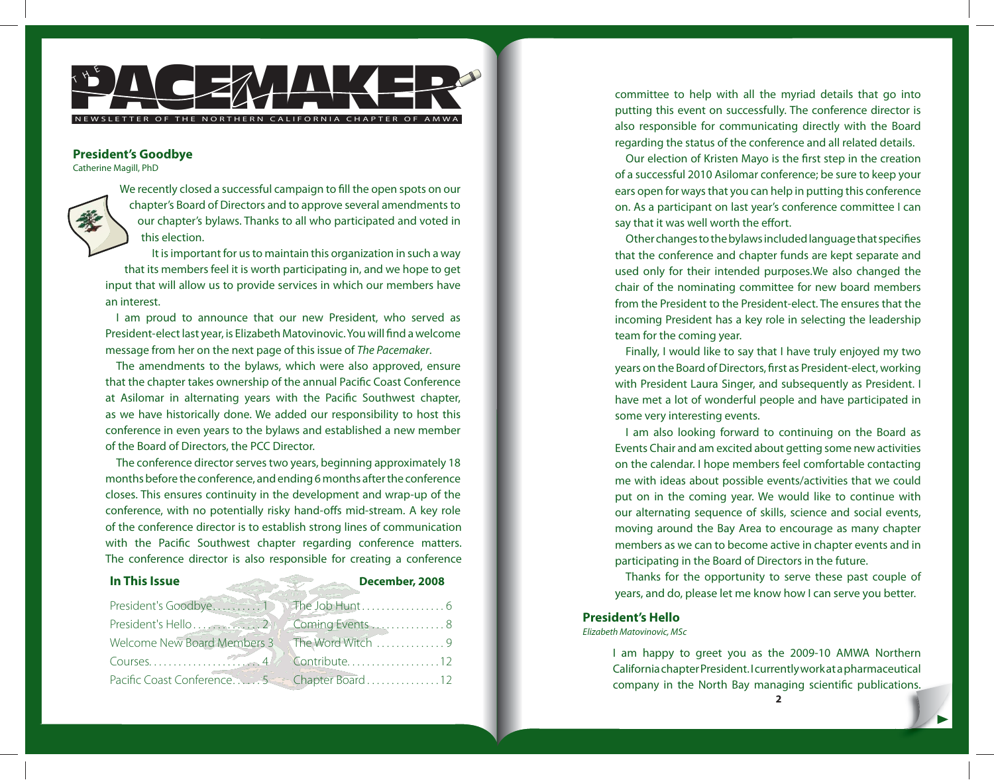

### **President's Goodbye**

Catherine Magill, PhD



We recently closed a successful campaign to fill the open spots on our chapter's Board of Directors and to approve several amendments to our chapter's bylaws. Thanks to all who participated and voted in this election.

It is important for us to maintain this organization in such a way that its members feel it is worth participating in, and we hope to get input that will allow us to provide services in which our members have an interest.

I am proud to announce that our new President, who served as President-elect last year, is Elizabeth Matovinovic. You will find a welcome message from her on the next page of this issue of The Pacemaker.

The amendments to the bylaws, which were also approved, ensure that the chapter takes ownership of the annual Pacific Coast Conference at Asilomar in alternating years with the Pacific Southwest chapter, as we have historically done. We added our responsibility to host this conference in even years to the bylaws and established a new member of the Board of Directors, the PCC Director.

The conference director serves two years, beginning approximately 18 months before the conference, and ending 6 months after the conference closes. This ensures continuity in the development and wrap-up of the conference, with no potentially risky hand-offs mid-stream. A key role of the conference director is to establish strong lines of communication with the Pacific Southwest chapter regarding conference matters. The conference director is also responsible for creating a conference

| In This Issue                                 | December, 2008             |
|-----------------------------------------------|----------------------------|
| President's Goodbye                           |                            |
|                                               |                            |
| Welcome New Board Members 3 The Word Witch  9 |                            |
| Courses                                       | $\frac{4}{6}$ Contribute12 |
| Pacific Coast Conference5 Chapter Board12     |                            |

committee to help with all the myriad details that go into putting this event on successfully. The conference director is also responsible for communicating directly with the Board regarding the status of the conference and all related details.

Our election of Kristen Mayo is the first step in the creation of a successful 2010 Asilomar conference; be sure to keep your ears open for ways that you can help in putting this conference on. As a participant on last year's conference committee I can say that it was well worth the effort.

Other changes to the bylaws included language that specifies that the conference and chapter funds are kept separate and used only for their intended purposes.We also changed the chair of the nominating committee for new board members from the President to the President-elect. The ensures that the incoming President has a key role in selecting the leadership team for the coming year.

Finally, I would like to say that I have truly enjoyed my two years on the Board of Directors, first as President-elect, working with President Laura Singer, and subsequently as President. I have met a lot of wonderful people and have participated in some very interesting events.

I am also looking forward to continuing on the Board as Events Chair and am excited about getting some new activities on the calendar. I hope members feel comfortable contacting me with ideas about possible events/activities that we could put on in the coming year. We would like to continue with our alternating sequence of skills, science and social events, moving around the Bay Area to encourage as many chapter members as we can to become active in chapter events and in participating in the Board of Directors in the future.

Thanks for the opportunity to serve these past couple of years, and do, please let me know how I can serve you better.

#### **President's Hello**

Elizabeth Matovinovic, MSc

I am happy to greet you as the 2009-10 AMWA Northern California chapter President. I currently work at a pharmaceutical company in the North Bay managing scientific publications.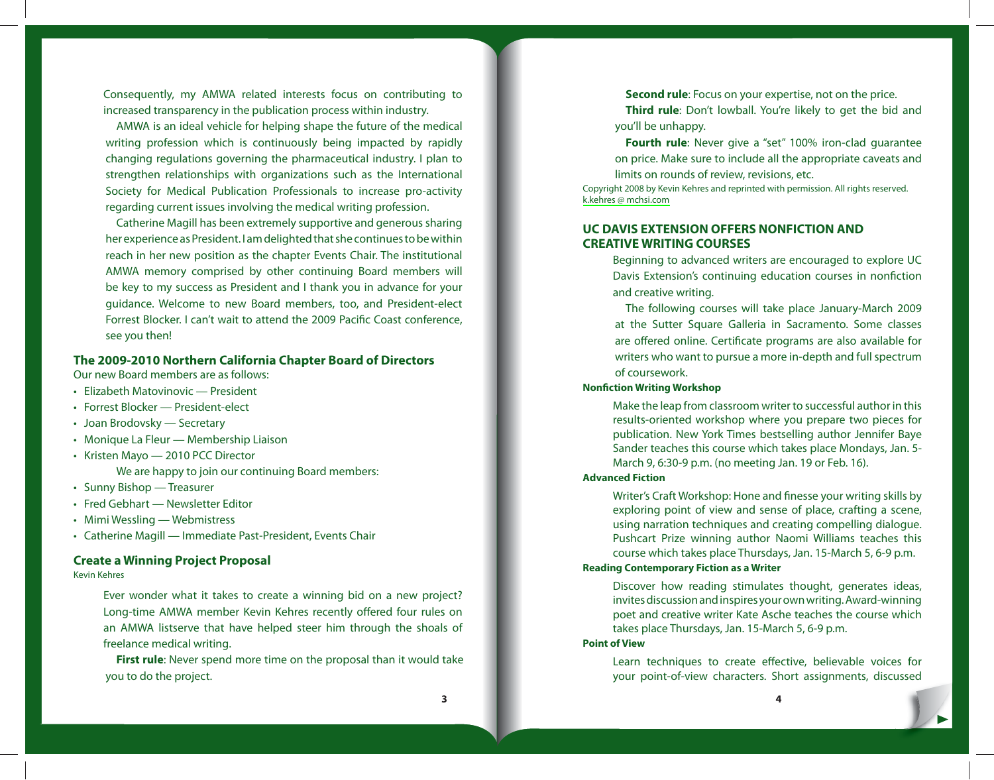Consequently, my AMWA related interests focus on contributing to increased transparency in the publication process within industry.

AMWA is an ideal vehicle for helping shape the future of the medical writing profession which is continuously being impacted by rapidly changing regulations governing the pharmaceutical industry. I plan to strengthen relationships with organizations such as the International Society for Medical Publication Professionals to increase pro-activity regarding current issues involving the medical writing profession.

Catherine Magill has been extremely supportive and generous sharing her experience as President. I am delighted that she continues to be within reach in her new position as the chapter Events Chair. The institutional AMWA memory comprised by other continuing Board members will be key to my success as President and I thank you in advance for your guidance. Welcome to new Board members, too, and President-elect Forrest Blocker. I can't wait to attend the 2009 Pacific Coast conference, see you then!

# **The 2009-2010 Northern California Chapter Board of Directors**

Our new Board members are as follows:

- Elizabeth Matovinovic President •
- Forrest Blocker President-elect
- Joan Brodovsky Secretary •
- Monique La Fleur Membership Liaison •
- Kristen Mayo 2010 PCC Director We are happy to join our continuing Board members:
- Sunny Bishop Treasurer
- Fred Gebhart Newsletter Editor
- Mimi Wessling Webmistress •
- Catherine Magill Immediate Past-President, Events Chair •

### **Create a Winning Project Proposal**

Kevin Kehres

Ever wonder what it takes to create a winning bid on a new project? Long-time AMWA member Kevin Kehres recently offered four rules on an AMWA listserve that have helped steer him through the shoals of freelance medical writing.

**First rule**: Never spend more time on the proposal than it would take you to do the project.

**Second rule**: Focus on your expertise, not on the price. **Third rule**: Don't lowball. You're likely to get the bid and

you'll be unhappy.

**Fourth rule**: Never give a "set" 100% iron-clad guarantee on price. Make sure to include all the appropriate caveats and limits on rounds of review, revisions, etc.

Copyright 2008 by Kevin Kehres and reprinted with permission. All rights reserved. [k.kehres @ mchsi.com](mailto:k.kehres@mchsi.com) 

# **UC DAVIS EXTENSION OFFERS NONFICTION AND CREATIVE WRITING COURSES**

Beginning to advanced writers are encouraged to explore UC Davis Extension's continuing education courses in nonfiction and creative writing.

The following courses will take place January-March 2009 at the Sutter Square Galleria in Sacramento. Some classes are offered online. Certificate programs are also available for writers who want to pursue a more in-depth and full spectrum of coursework.

## **Nonfiction Writing Workshop**

Make the leap from classroom writer to successful author in this results-oriented workshop where you prepare two pieces for publication. New York Times bestselling author Jennifer Baye Sander teaches this course which takes place Mondays, Jan. 5- March 9, 6:30-9 p.m. (no meeting Jan. 19 or Feb. 16).

### **Advanced Fiction**

Writer's Craft Workshop: Hone and finesse your writing skills by exploring point of view and sense of place, crafting a scene, using narration techniques and creating compelling dialogue. Pushcart Prize winning author Naomi Williams teaches this course which takes place Thursdays, Jan. 15-March 5, 6-9 p.m.

### **Reading Contemporary Fiction as a Writer**

Discover how reading stimulates thought, generates ideas, invites discussion and inspires your own writing. Award-winning poet and creative writer Kate Asche teaches the course which takes place Thursdays, Jan. 15-March 5, 6-9 p.m.

#### **Point of View**

Learn techniques to create effective, believable voices for your point-of-view characters. Short assignments, discussed

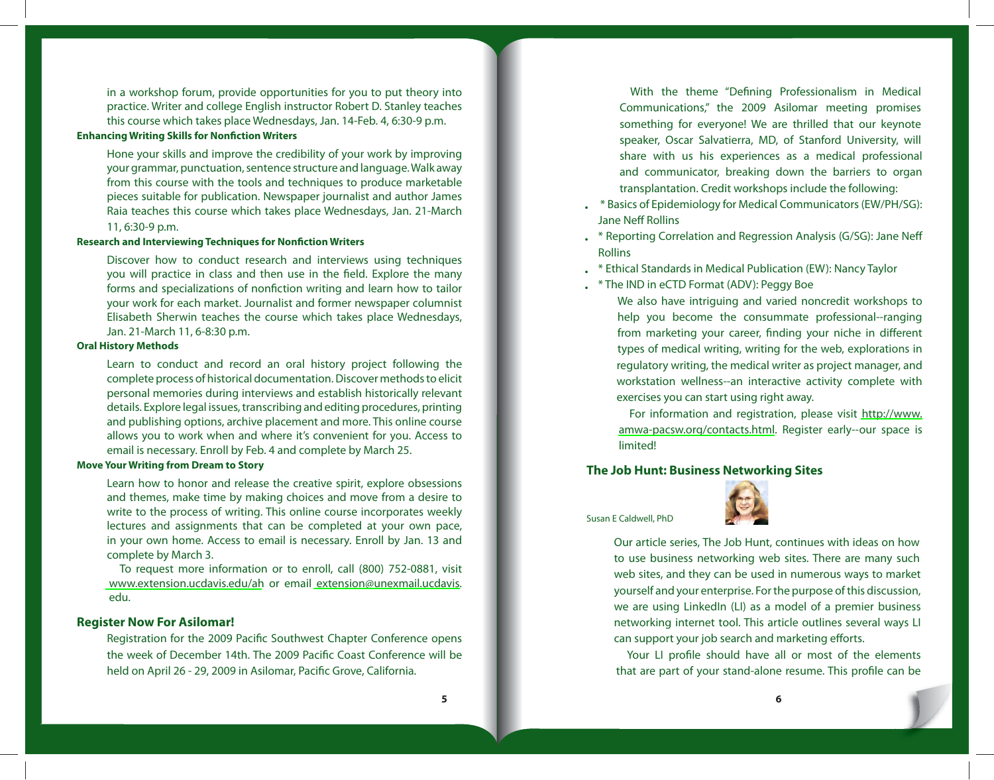in a workshop forum, provide opportunities for you to put theory into practice. Writer and college English instructor Robert D. Stanley teaches this course which takes place Wednesdays, Jan. 14-Feb. 4, 6:30-9 p.m.

# **Enhancing Writing Skills for Nonfiction Writers**

Hone your skills and improve the credibility of your work by improving your grammar, punctuation, sentence structure and language. Walk away from this course with the tools and techniques to produce marketable pieces suitable for publication. Newspaper journalist and author James Raia teaches this course which takes place Wednesdays, Jan. 21-March 11, 6:30-9 p.m.

#### **Research and Interviewing Techniques for Nonfiction Writers**

Discover how to conduct research and interviews using techniques you will practice in class and then use in the field. Explore the many forms and specializations of nonfiction writing and learn how to tailor your work for each market. Journalist and former newspaper columnist Elisabeth Sherwin teaches the course which takes place Wednesdays, Jan. 21-March 11, 6-8:30 p.m.

#### **Oral History Methods**

Learn to conduct and record an oral history project following the complete process of historical documentation. Discover methods to elicit personal memories during interviews and establish historically relevant details. Explore legal issues, transcribing and editing procedures, printing and publishing options, archive placement and more. This online course allows you to work when and where it's convenient for you. Access to email is necessary. Enroll by Feb. 4 and complete by March 25.

### **Move Your Writing from Dream to Story**

Learn how to honor and release the creative spirit, explore obsessions and themes, make time by making choices and move from a desire to write to the process of writing. This online course incorporates weekly lectures and assignments that can be completed at your own pace, in your own home. Access to email is necessary. Enroll by Jan. 13 and complete by March 3.

To request more information or to enroll, call (800) 752-0881, visit <www.extension.ucdavis.edu/ah> or email [extension@unexmail.ucdavis.](mailto:extension@unexmail.ucdavis.) edu.

## **Register Now For Asilomar!**

Registration for the 2009 Pacific Southwest Chapter Conference opens the week of December 14th. The 2009 Pacific Coast Conference will be held on April 26 - 29, 2009 in Asilomar, Pacific Grove, California.

With the theme "Defining Professionalism in Medical Communications," the 2009 Asilomar meeting promises something for everyone! We are thrilled that our keynote speaker, Oscar Salvatierra, MD, of Stanford University, will share with us his experiences as a medical professional and communicator, breaking down the barriers to organ transplantation. Credit workshops include the following:

- \* Basics of Epidemiology for Medical Communicators (EW/PH/SG): Jane Neff Rollins •
- . \* Reporting Correlation and Regression Analysis (G/SG): Jane Neff Rollins
- $\quad \quad ^{*}$  Ethical Standards in Medical Publication (EW): Nancy Taylor
- $*$  \* The IND in eCTD Format (ADV): Peggy Boe

We also have intriguing and varied noncredit workshops to help you become the consummate professional--ranging from marketing your career, finding your niche in different types of medical writing, writing for the web, explorations in regulatory writing, the medical writer as project manager, and workstation wellness--an interactive activity complete with exercises you can start using right away.

For information and registration, please visit [http://www.](http://www.amwa-pacsw.org/contacts.html) [amwa-pacsw.org/contacts.html](http://www.amwa-pacsw.org/contacts.html). Register early--our space is limited!

## **The Job Hunt: Business Networking Sites**

#### Susan E Caldwell, PhD



Our article series, The Job Hunt, continues with ideas on how to use business networking web sites. There are many such web sites, and they can be used in numerous ways to market yourself and your enterprise. For the purpose of this discussion, we are using LinkedIn (LI) as a model of a premier business networking internet tool. This article outlines several ways LI can support your job search and marketing efforts.

Your LI profile should have all or most of the elements that are part of your stand-alone resume. This profile can be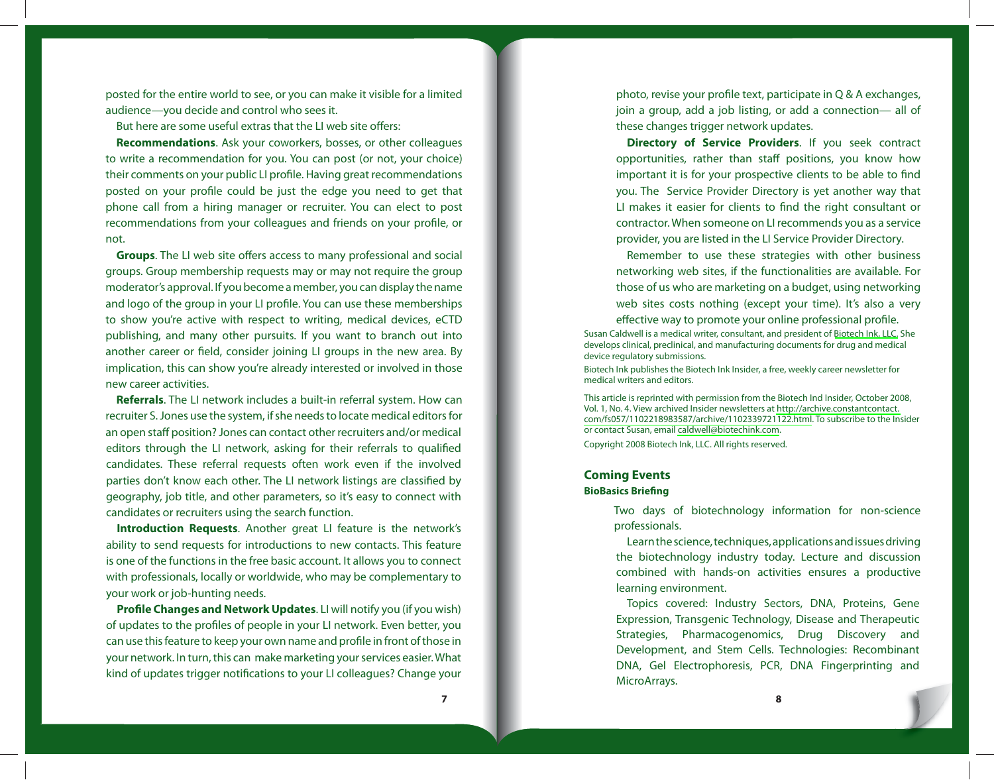posted for the entire world to see, or you can make it visible for a limited audience—you decide and control who sees it.

But here are some useful extras that the LI web site offers:

**Recommendations**. Ask your coworkers, bosses, or other colleagues to write a recommendation for you. You can post (or not, your choice) their comments on your public LI profile. Having great recommendations posted on your profile could be just the edge you need to get that phone call from a hiring manager or recruiter. You can elect to post recommendations from your colleagues and friends on your profile, or not.

**Groups**. The LI web site offers access to many professional and social groups. Group membership requests may or may not require the group moderator's approval. If you become a member, you can display the name and logo of the group in your LI profile. You can use these memberships to show you're active with respect to writing, medical devices, eCTD publishing, and many other pursuits. If you want to branch out into another career or field, consider joining LI groups in the new area. By implication, this can show you're already interested or involved in those new career activities.

**Referrals**. The LI network includes a built-in referral system. How can recruiter S. Jones use the system, if she needs to locate medical editors for an open staff position? Jones can contact other recruiters and/or medical editors through the LI network, asking for their referrals to qualified candidates. These referral requests often work even if the involved parties don't know each other. The LI network listings are classified by geography, job title, and other parameters, so it's easy to connect with candidates or recruiters using the search function.

**Introduction Requests**. Another great LI feature is the network's ability to send requests for introductions to new contacts. This feature is one of the functions in the free basic account. It allows you to connect with professionals, locally or worldwide, who may be complementary to your work or job-hunting needs.

**Profile Changes and Network Updates**. LI will notify you (if you wish) of updates to the profiles of people in your LI network. Even better, you can use this feature to keep your own name and profile in front of those in your network. In turn, this can make marketing your services easier. What kind of updates trigger notifications to your LI colleagues? Change your

photo, revise your profile text, participate in  $Q & A$  exchanges, join a group, add a job listing, or add a connection— all of these changes trigger network updates.

**Directory of Service Providers**. If you seek contract opportunities, rather than staff positions, you know how important it is for your prospective clients to be able to find you. The Service Provider Directory is yet another way that LI makes it easier for clients to find the right consultant or contractor. When someone on LI recommends you as a service provider, you are listed in the LI Service Provider Directory.

Remember to use these strategies with other business networking web sites, if the functionalities are available. For those of us who are marketing on a budget, using networking web sites costs nothing (except your time). It's also a very effective way to promote your online professional profile.

Susan Caldwell is a medical writer, consultant, and president of [Biotech Ink, LLC.](http://www.biotechink.com ) She develops clinical, preclinical, and manufacturing documents for drug and medical device regulatory submissions.

Biotech Ink publishes the Biotech Ink Insider, a free, weekly career newsletter for medical writers and editors.

This article is reprinted with permission from the Biotech Ind Insider, October 2008, Vol. 1, No. 4. View archived Insider newsletters at [http://archive.constantcontact.](http://archive.constantcontact.com/fs057/1102218983587/archive/1102339721122.html) [com/fs057/1102218983587/archive/1102339721122.html](http://archive.constantcontact.com/fs057/1102218983587/archive/1102339721122.html). To subscribe to the Insider or contact Susan, email [caldwell@biotechink.com.](mailto:caldwell@biotechink.com)

Copyright 2008 Biotech Ink, LLC. All rights reserved.

#### **Coming Events**

#### **BioBasics Briefing**

Two days of biotechnology information for non-science professionals.

Learn the science, techniques, applications and issues driving the biotechnology industry today. Lecture and discussion combined with hands-on activities ensures a productive learning environment.

Topics covered: Industry Sectors, DNA, Proteins, Gene Expression, Transgenic Technology, Disease and Therapeutic Strategies, Pharmacogenomics, Drug Discovery and Development, and Stem Cells. Technologies: Recombinant DNA, Gel Electrophoresis, PCR, DNA Fingerprinting and MicroArrays.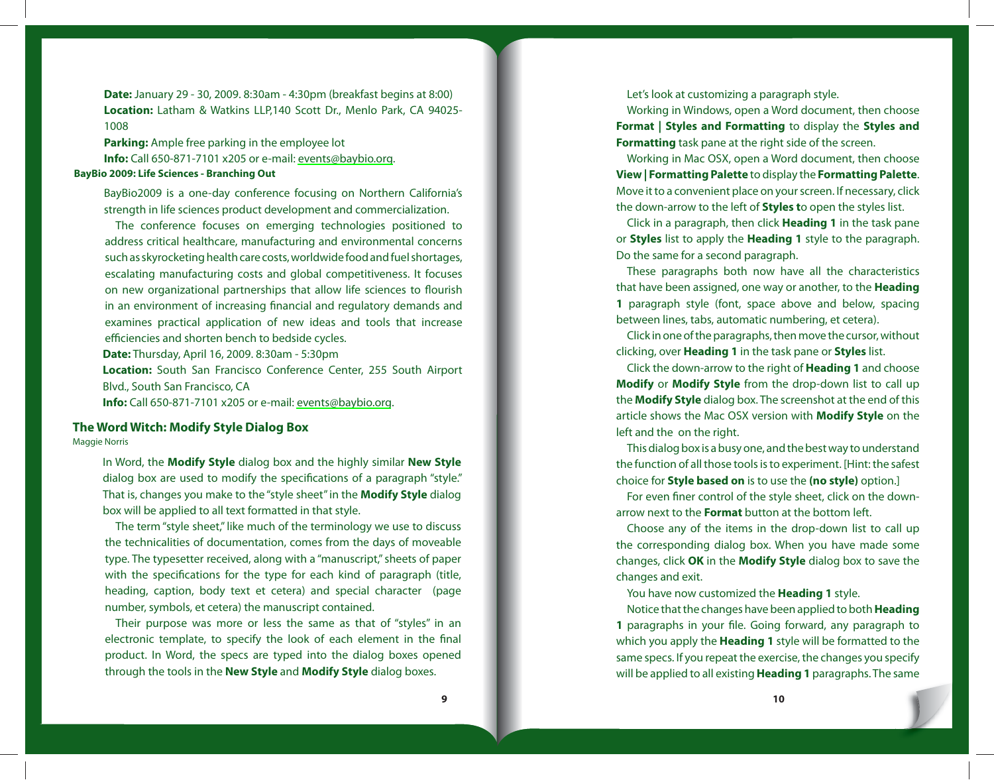**Date:** January 29 - 30, 2009. 8:30am - 4:30pm (breakfast begins at 8:00) **Location:** Latham & Watkins LLP,140 Scott Dr., Menlo Park, CA 94025- 1008

**Parking:** Ample free parking in the employee lot **Info:** Call 650-871-7101 x205 or e-mail: [events@baybio.org](mailto:events@baybio.org). **BayBio 2009: Life Sciences - Branching Out**

BayBio2009 is a one-day conference focusing on Northern California's strength in life sciences product development and commercialization.

The conference focuses on emerging technologies positioned to address critical healthcare, manufacturing and environmental concerns such as skyrocketing health care costs, worldwide food and fuel shortages, escalating manufacturing costs and global competitiveness. It focuses on new organizational partnerships that allow life sciences to flourish in an environment of increasing financial and regulatory demands and examines practical application of new ideas and tools that increase efficiencies and shorten bench to bedside cycles.

**Date:** Thursday, April 16, 2009. 8:30am - 5:30pm

**Location:** South San Francisco Conference Center, 255 South Airport Blvd., South San Francisco, CA

**Info:** Call 650-871-7101 x205 or e-mail: [events@baybio.org](mailto:events@baybio.org).

# **The Word Witch: Modify Style Dialog Box**

Maggie Norris

In Word, the **Modify Style** dialog box and the highly similar **New Style** dialog box are used to modify the specifications of a paragraph "style." That is, changes you make to the "style sheet" in the **Modify Style** dialog box will be applied to all text formatted in that style.

The term "style sheet," like much of the terminology we use to discuss the technicalities of documentation, comes from the days of moveable type. The typesetter received, along with a "manuscript," sheets of paper with the specifications for the type for each kind of paragraph (title, heading, caption, body text et cetera) and special character (page number, symbols, et cetera) the manuscript contained.

Their purpose was more or less the same as that of "styles" in an electronic template, to specify the look of each element in the final product. In Word, the specs are typed into the dialog boxes opened through the tools in the **New Style** and **Modify Style** dialog boxes.

Let's look at customizing a paragraph style.

Working in Windows, open a Word document, then choose **Format | Styles and Formatting** to display the **Styles and Formatting** task pane at the right side of the screen.

Working in Mac OSX, open a Word document, then choose **View | Formatting Palette** to display the **Formatting Palette**. Move it to a convenient place on your screen. If necessary, click the down-arrow to the left of **Styles t**o open the styles list.

Click in a paragraph, then click **Heading 1** in the task pane or **Styles** list to apply the **Heading 1** style to the paragraph. Do the same for a second paragraph.

These paragraphs both now have all the characteristics that have been assigned, one way or another, to the **Heading 1** paragraph style (font, space above and below, spacing between lines, tabs, automatic numbering, et cetera).

Click in one of the paragraphs, then move the cursor, without clicking, over **Heading 1** in the task pane or **Styles** list.

Click the down-arrow to the right of **Heading 1** and choose **Modify** or **Modify Style** from the drop-down list to call up the **Modify Style** dialog box. The screenshot at the end of this article shows the Mac OSX version with **Modify Style** on the left and the on the right.

This dialog box is a busy one, and the best way to understand the function of all those tools is to experiment. [Hint: the safest choice for **Style based on** is to use the **(no style)** option.]

For even finer control of the style sheet, click on the downarrow next to the **Format** button at the bottom left.

Choose any of the items in the drop-down list to call up the corresponding dialog box. When you have made some changes, click **OK** in the **Modify Style** dialog box to save the changes and exit.

You have now customized the **Heading 1** style.

Notice that the changes have been applied to both **Heading 1** paragraphs in your file. Going forward, any paragraph to which you apply the **Heading 1** style will be formatted to the same specs. If you repeat the exercise, the changes you specify will be applied to all existing **Heading 1** paragraphs. The same